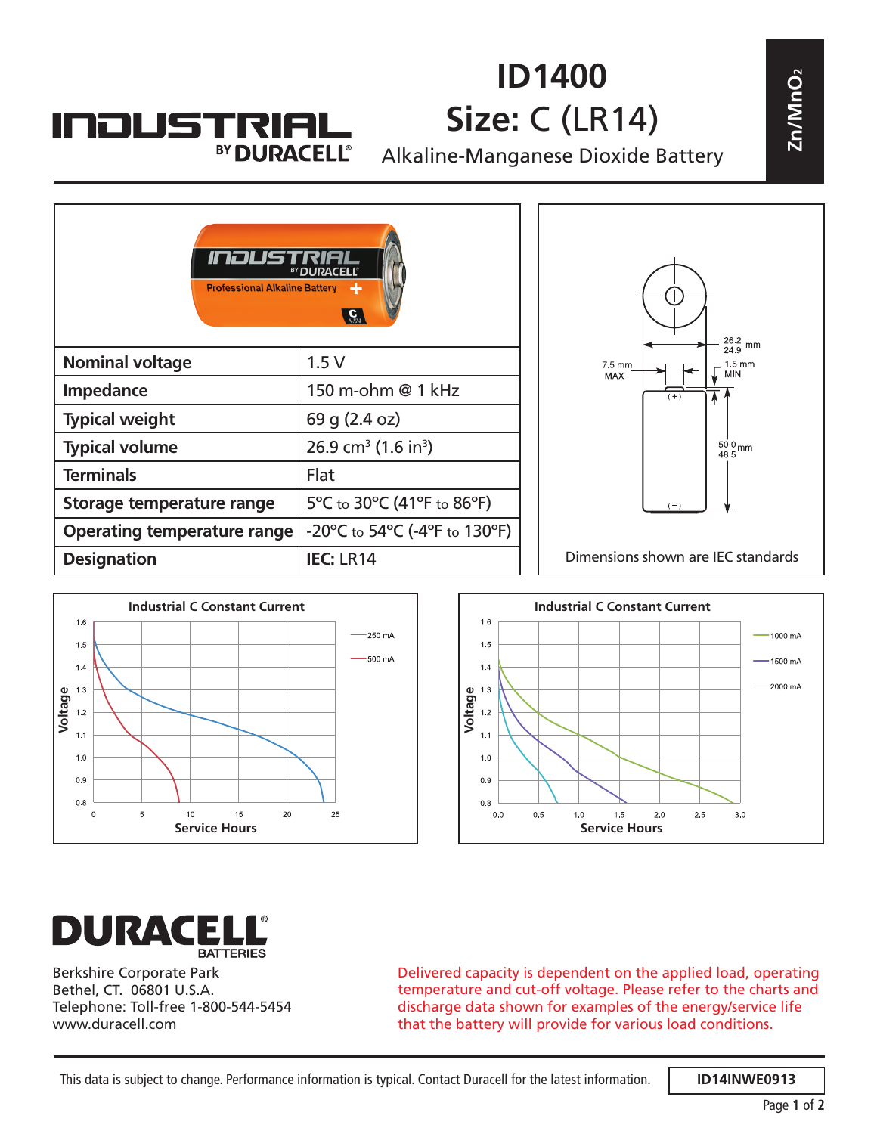## **ID1400 Size:** C (LR14)

Alkaline-Manganese Dioxide Battery





**INDUSTRIAL** 

BY DURACELL®





Berkshire Corporate Park Bethel, CT. 06801 U.S.A. Telephone: Toll-free 1-800-544-5454 www.duracell.com

Delivered capacity is dependent on the applied load, operating temperature and cut-off voltage. Please refer to the charts and discharge data shown for examples of the energy/service life that the battery will provide for various load conditions.